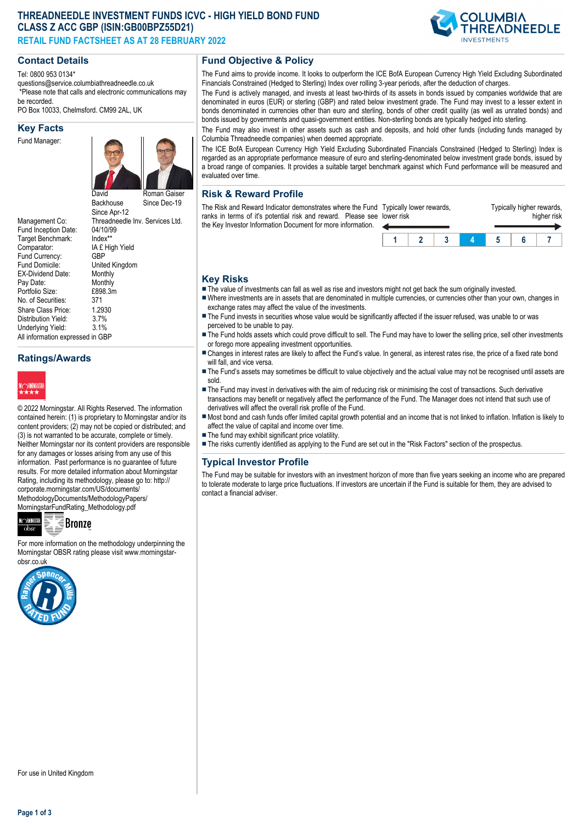## **THREADNEEDLE INVESTMENT FUNDS ICVC - HIGH YIELD BOND FUND CLASS Z ACC GBP (ISIN:GB00BPZ55D21) RETAIL FUND FACTSHEET AS AT 28 FEBRUARY 2022**



#### Tel: 0800 953 0134\*

questions@service.columbiathreadneedle.co.uk \*Please note that calls and electronic communications may

be recorded. PO Box 10033, Chelmsford. CM99 2AL, UK

#### **Key Facts**

Fund Manager:



Fund Inception Date: 04/10/9<br>Target Benchmark: Index\*\* Target Benchmark:<br>Comparator: Fund Currency:<br>Fund Domicile: EX-Dividend Date: Monthly<br>Pay Date: Monthly Pay Date: Monthly<br>Portfolio Size: £898.3m Portfolio Size: £89<br>No. of Securities: 371 No. of Securities: Share Class Price: 1.2930<br>Distribution Yield: 3.7% Distribution Yield: 3.7%<br>Underlying Yield: 3.1% Underlying Yield: All information expressed in GBP

David **Backhouse** Since Apr-12 Since Dec-19 Management Co: Threadneedle Inv. Services Ltd.<br>Fund Incention Date: 04/10/99 IA £ High Yield<br>GBP United Kingdom<br>Monthly

## **Ratings/Awards**



© 2022 Morningstar. All Rights Reserved. The information contained herein: (1) is proprietary to Morningstar and/or its content providers; (2) may not be copied or distributed; and (3) is not warranted to be accurate, complete or timely. Neither Morningstar nor its content providers are responsible for any damages or losses arising from any use of this information. Past performance is no guarantee of future results. For more detailed information about Morningstar Rating, including its methodology, please go to: http:// corporate.morningstar.com/US/documents/ MethodologyDocuments/MethodologyPapers/ MorningstarFundRating\_Methodology.pdf



# **Bronze**

For more information on the methodology underpinning the Morningstar OBSR rating please visit www.morningstarobsr.co.uk



**Fund Objective & Policy**

The Fund aims to provide income. It looks to outperform the ICE BofA European Currency High Yield Excluding Subordinated Financials Constrained (Hedged to Sterling) Index over rolling 3-year periods, after the deduction of charges.

The Fund is actively managed, and invests at least two-thirds of its assets in bonds issued by companies worldwide that are denominated in euros (EUR) or sterling (GBP) and rated below investment grade. The Fund may invest to a lesser extent in bonds denominated in currencies other than euro and sterling, bonds of other credit quality (as well as unrated bonds) and bonds issued by governments and quasi-government entities. Non-sterling bonds are typically hedged into sterling.

The Fund may also invest in other assets such as cash and deposits, and hold other funds (including funds managed by Columbia Threadneedle companies) when deemed appropriate.

The ICE BofA European Currency High Yield Excluding Subordinated Financials Constrained (Hedged to Sterling) Index is regarded as an appropriate performance measure of euro and sterling-denominated below investment grade bonds, issued by a broad range of companies. It provides a suitable target benchmark against which Fund performance will be measured and evaluated over time.

#### **Risk & Reward Profile**

The Risk and Reward Indicator demonstrates where the Fund ranks in terms of it's potential risk and reward. Please se the Key Investor Information Document for more information.

| d Typically lower rewards,<br>e lower risk |  | Typically higher rewards,<br>higher risk |  |  |  |  |  |
|--------------------------------------------|--|------------------------------------------|--|--|--|--|--|
|                                            |  |                                          |  |  |  |  |  |
|                                            |  |                                          |  |  |  |  |  |

#### **Key Risks**

- $\blacksquare$  The value of investments can fall as well as rise and investors might not get back the sum originally invested.
- nWhere investments are in assets that are denominated in multiple currencies, or currencies other than your own, changes in exchange rates may affect the value of the investments.
- The Fund invests in securities whose value would be significantly affected if the issuer refused, was unable to or was perceived to be unable to pay.
- The Fund holds assets which could prove difficult to sell. The Fund may have to lower the selling price, sell other investments or forego more appealing investment opportunities.
- n Changes in interest rates are likely to affect the Fund's value. In general, as interest rates rise, the price of a fixed rate bond will fall, and vice versa.
- The Fund's assets may sometimes be difficult to value objectively and the actual value may not be recognised until assets are sold.
- The Fund may invest in derivatives with the aim of reducing risk or minimising the cost of transactions. Such derivative transactions may benefit or negatively affect the performance of the Fund. The Manager does not intend that such use of derivatives will affect the overall risk profile of the Fund.
- n Most bond and cash funds offer limited capital growth potential and an income that is not linked to inflation. Inflation is likely to affect the value of capital and income over time.
- $\blacksquare$  The fund may exhibit significant price volatility.
- n The risks currently identified as applying to the Fund are set out in the "Risk Factors" section of the prospectus.

### **Typical Investor Profile**

The Fund may be suitable for investors with an investment horizon of more than five years seeking an income who are prepared to tolerate moderate to large price fluctuations. If investors are uncertain if the Fund is suitable for them, they are advised to contact a financial adviser.

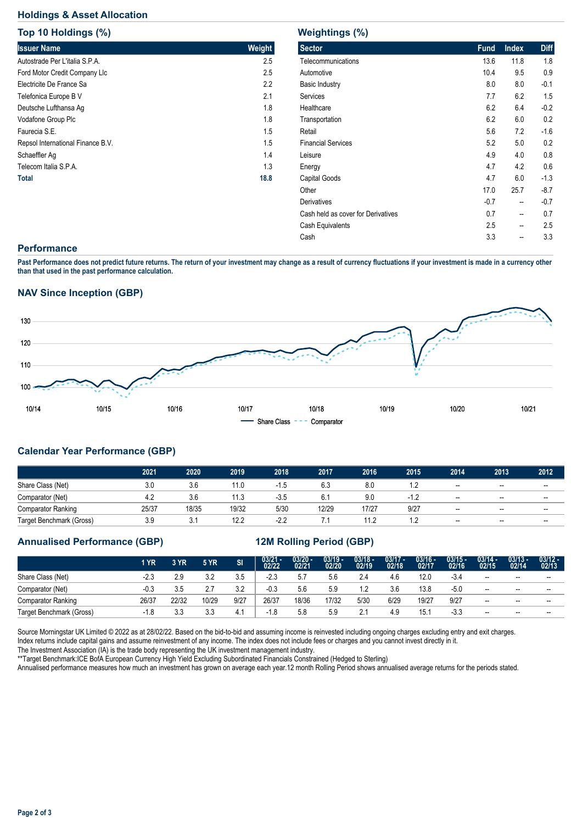## **Holdings & Asset Allocation**

**Top 10 Holdings (%)**

| <b>Top 10 Holdings (%)</b>        |        |
|-----------------------------------|--------|
| <b>Issuer Name</b>                | Weight |
| Autostrade Per L'italia S.P.A.    | 2.5    |
| Ford Motor Credit Company Llc     | 2.5    |
| Electricite De France Sa          | 2.2    |
| Telefonica Europe B V             | 2.1    |
| Deutsche Lufthansa Ag             | 1.8    |
| Vodafone Group Plc                | 1.8    |
| Faurecia S.E.                     | 1.5    |
| Repsol International Finance B.V. | 1.5    |
| Schaeffler Ag                     | 1.4    |
| Telecom Italia S.P.A.             | 1.3    |
| Total                             | 18.8   |

| <b>Weightings (%)</b>              |             |              |             |
|------------------------------------|-------------|--------------|-------------|
| <b>Sector</b>                      | <b>Fund</b> | <b>Index</b> | <b>Diff</b> |
| Telecommunications                 | 13.6        | 11.8         | 1.8         |
| Automotive                         | 10.4        | 9.5          | 0.9         |
| <b>Basic Industry</b>              | 8.0         | 8.0          | $-0.1$      |
| Services                           | 7.7         | 6.2          | 1.5         |
| Healthcare                         | 6.2         | 6.4          | $-0.2$      |
| Transportation                     | 6.2         | 6.0          | 0.2         |
| Retail                             | 5.6         | 7.2          | $-1.6$      |
| <b>Financial Services</b>          | 5.2         | 5.0          | 0.2         |
| Leisure                            | 4.9         | 4.0          | 0.8         |
| Energy                             | 4.7         | 4.2          | 0.6         |
| Capital Goods                      | 4.7         | 6.0          | $-1.3$      |
| Other                              | 17.0        | 25.7         | $-8.7$      |
| <b>Derivatives</b>                 | $-0.7$      | --           | $-0.7$      |
| Cash held as cover for Derivatives | 0.7         | --           | 0.7         |
| Cash Equivalents                   | 2.5         | --           | 2.5         |
| Cash                               | 3.3         | --           | 3.3         |
|                                    |             |              |             |

#### **Performance**

**Past Performance does not predict future returns. The return of your investment may change as a result of currency fluctuations if your investment is made in a currency other than that used in the past performance calculation.** 

### **NAV Since Inception (GBP)**



## **Calendar Year Performance (GBP)**

|                           | 2021  | 2020  | 2019  | 2018   | 2017  | 2016  | 2015 | 2014                     | 2013                     | 2012                     |
|---------------------------|-------|-------|-------|--------|-------|-------|------|--------------------------|--------------------------|--------------------------|
| Share Class (Net)         | 3.0   | 3.6   | 11.0  | $-1.5$ | 6.3   | 8.0   |      | $\overline{\phantom{a}}$ | $\overline{\phantom{a}}$ | $- -$                    |
| Comparator (Net)          | 4.2   | 3.6   | 11.3  | $-3.5$ | 6.1   | 9.0   | - 1  | $\overline{\phantom{a}}$ | $-$                      | $- -$                    |
| <b>Comparator Ranking</b> | 25/37 | 18/35 | 19/32 | 5/30   | 12/29 | 17/27 | 9/27 | $\overline{\phantom{a}}$ | $- -$                    | $- -$                    |
| Target Benchmark (Gross)  | 3.9   | 3.1   | 12.2  | $-2.2$ | .     | 11.2  |      | $\overline{\phantom{a}}$ | $- -$                    | $\overline{\phantom{a}}$ |

### **Annualised Performance (GBP) 12M Rolling Period (GBP)**

|                          | 1 YR   | 3 YR       | <b>5 YR</b> | SI   | $03/21 - 02/22$ | $03/20 -$<br>02/21 | $03/19 -$<br>02/20 | $03/18 -$<br>02/19 | $03/17 -$<br>02/18 | $03/16 -$<br>02/17 | $03/15 -$<br>02/16 | $03/14 -$<br>02/15 | $03/13 -$<br>02/14       | $03/12 -$<br>02/13 |
|--------------------------|--------|------------|-------------|------|-----------------|--------------------|--------------------|--------------------|--------------------|--------------------|--------------------|--------------------|--------------------------|--------------------|
| Share Class (Net)        | $-2.3$ | 2.9        | 3.2         | 3.5  | $-2.3$          | 5.7                | 5.6                | 2.4                | 4.6                | 12.0               | $-3.4$             | $\sim$             | $- -$                    | $- -$              |
| Comparator (Net)         | $-0.3$ | 3.5        | 2.7         | 3.2  | $-0.3$          | 5.6                | 5.9                | 1.2                | 3.6                | 13.8               | $-5.0$             | $- -$              | $\overline{\phantom{a}}$ | $- -$              |
| Comparator Ranking       | 26/37  | 22/32      | 10/29       | 9/27 | 26/37           | 18/36              | 17/32              | 5/30               | 6/29               | 19/27              | 9/27               | $- -$              | $\overline{\phantom{a}}$ | $- -$              |
| Target Benchmark (Gross) | $-1.8$ | २ २<br>ن.ن | 3.3         | 4.1  | $-1.8$          | 5.8                | 5.9                | 2.1                | 4.9                | 15.7               | $-3.3$             | $- -$              | $- -$                    | $- -$              |

Source Morningstar UK Limited © 2022 as at 28/02/22. Based on the bid-to-bid and assuming income is reinvested including ongoing charges excluding entry and exit charges. Index returns include capital gains and assume reinvestment of any income. The index does not include fees or charges and you cannot invest directly in it.

The Investment Association (IA) is the trade body representing the UK investment management industry.

\*\*Target Benchmark:ICE BofA European Currency High Yield Excluding Subordinated Financials Constrained (Hedged to Sterling)

Annualised performance measures how much an investment has grown on average each year.12 month Rolling Period shows annualised average returns for the periods stated.